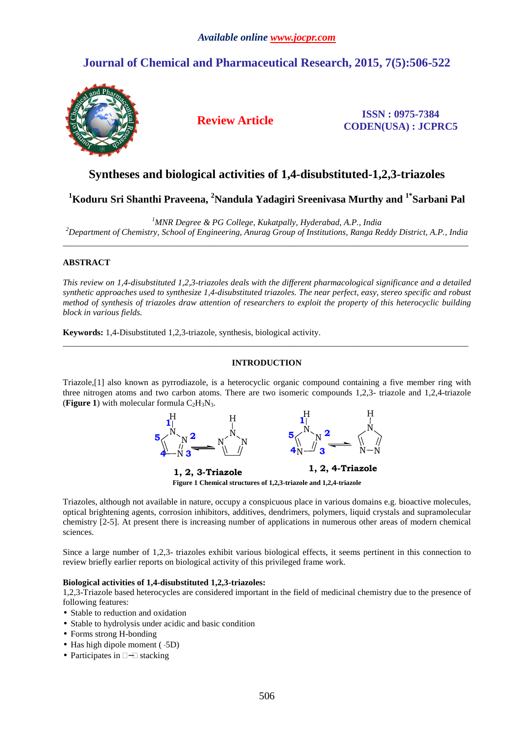# **Journal of Chemical and Pharmaceutical Research, 2015, 7(5):506-522**



**Review Article ISSN : 0975-7384 CODEN(USA) : JCPRC5**

# **Syntheses and biological activities of 1,4-disubstituted-1,2,3-triazoles**

**<sup>1</sup>Koduru Sri Shanthi Praveena, <sup>2</sup>Nandula Yadagiri Sreenivasa Murthy and 1\*Sarbani Pal** 

*<sup>1</sup>MNR Degree & PG College, Kukatpally, Hyderabad, A.P., India* 

*<sup>2</sup>Department of Chemistry, School of Engineering, Anurag Group of Institutions, Ranga Reddy District, A.P., India*   $\overline{a}$  , and the contribution of the contribution of the contribution of the contribution of the contribution of the contribution of the contribution of the contribution of the contribution of the contribution of the co

## **ABSTRACT**

*This review on 1,4-disubstituted 1,2,3-triazoles deals with the different pharmacological significance and a detailed synthetic approaches used to synthesize 1,4-disubstituted triazoles. The near perfect, easy, stereo specific and robust method of synthesis of triazoles draw attention of researchers to exploit the property of this heterocyclic building block in various fields.* 

**Keywords:** 1,4-Disubstituted 1,2,3-triazole, synthesis, biological activity.

## **INTRODUCTION**

\_\_\_\_\_\_\_\_\_\_\_\_\_\_\_\_\_\_\_\_\_\_\_\_\_\_\_\_\_\_\_\_\_\_\_\_\_\_\_\_\_\_\_\_\_\_\_\_\_\_\_\_\_\_\_\_\_\_\_\_\_\_\_\_\_\_\_\_\_\_\_\_\_\_\_\_\_\_\_\_\_\_\_\_\_\_\_\_\_\_\_\_\_

Triazole,[1] also known as pyrrodiazole, is a heterocyclic organic compound containing a five member ring with three nitrogen atoms and two carbon atoms. There are two isomeric compounds 1,2,3- triazole and 1,2,4-triazole (**Figure 1**) with molecular formula  $C_2H_3N_3$ .



**Figure 1 Chemical structures of 1,2,3-triazole and 1,2,4-triazole** 

Triazoles, although not available in nature, occupy a conspicuous place in various domains e.g. bioactive molecules, optical brightening agents, corrosion inhibitors, additives, dendrimers, polymers, liquid crystals and supramolecular chemistry [2-5]. At present there is increasing number of applications in numerous other areas of modern chemical sciences.

Since a large number of 1,2,3- triazoles exhibit various biological effects, it seems pertinent in this connection to review briefly earlier reports on biological activity of this privileged frame work.

## **Biological activities of 1,4-disubstituted 1,2,3-triazoles:**

1,2,3-Triazole based heterocycles are considered important in the field of medicinal chemistry due to the presence of following features:

- Stable to reduction and oxidation
- Stable to hydrolysis under acidic and basic condition
- Forms strong H-bonding
- Has high dipole moment  $(.5D)$
- Participates in stacking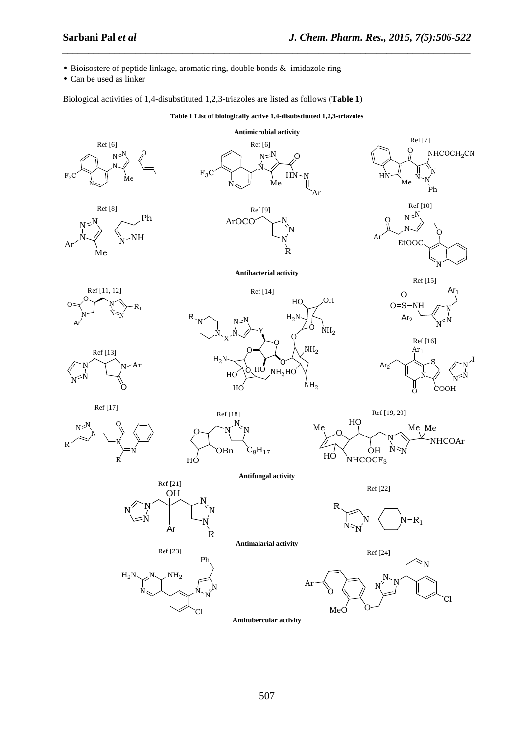- Bioisostere of peptide linkage, aromatic ring, double bonds & imidazole ring
- Can be used as linker

Biological activities of 1,4-disubstituted 1,2,3-triazoles are listed as follows (**Table 1**)

**Table 1 List of biologically active 1,4-disubstituted 1,2,3-triazoles** 

*\_\_\_\_\_\_\_\_\_\_\_\_\_\_\_\_\_\_\_\_\_\_\_\_\_\_\_\_\_\_\_\_\_\_\_\_\_\_\_\_\_\_\_\_\_\_\_\_\_\_\_\_\_\_\_\_\_\_\_\_\_\_\_\_\_\_\_\_\_\_\_\_\_\_\_\_\_\_*



**Antitubercular activity**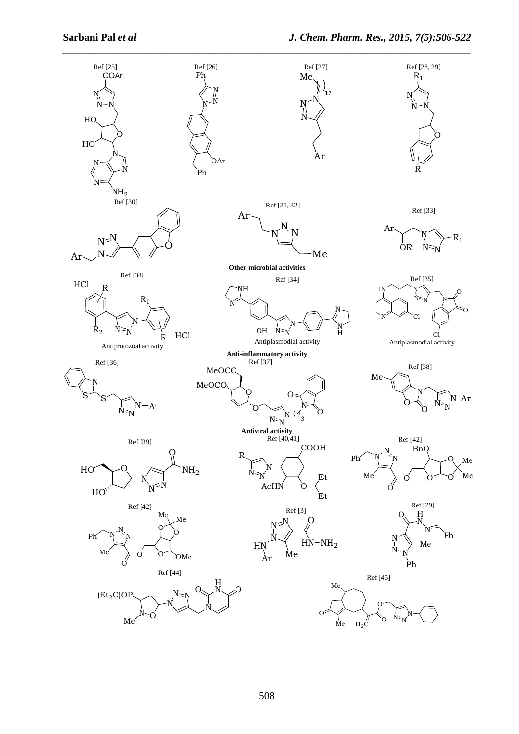![](_page_2_Figure_2.jpeg)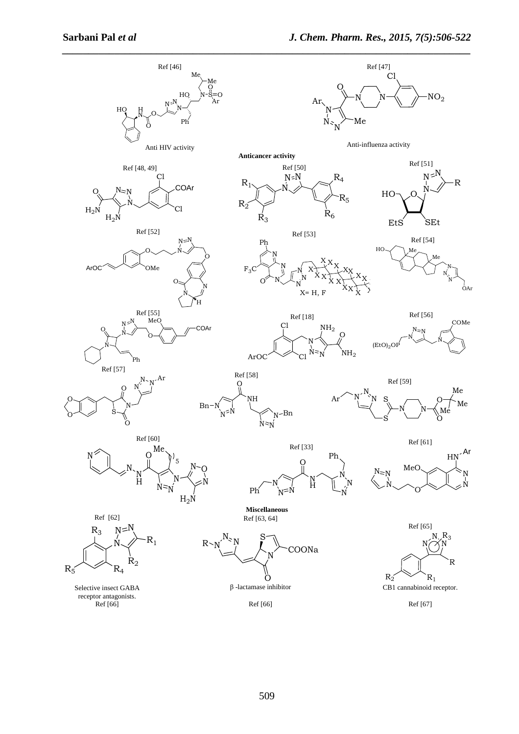![](_page_3_Figure_2.jpeg)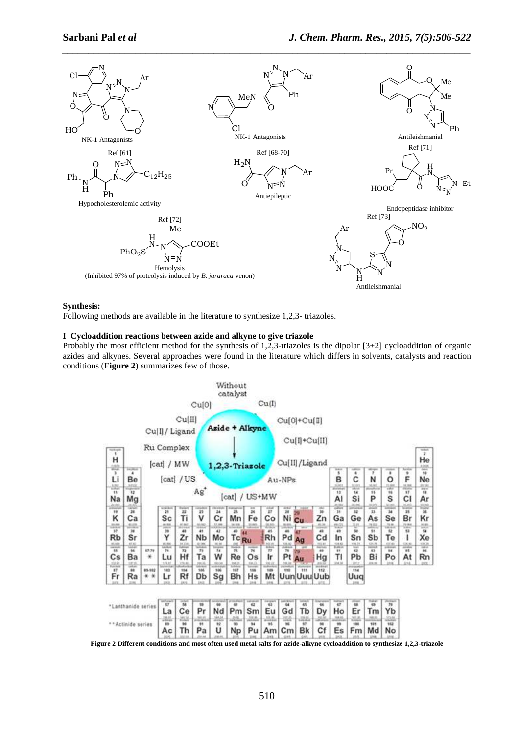![](_page_4_Figure_2.jpeg)

## **Synthesis:**

Following methods are available in the literature to synthesize 1,2,3- triazoles.

## **I Cycloaddition reactions between azide and alkyne to give triazole**

Probably the most efficient method for the synthesis of 1,2,3-triazoles is the dipolar [3+2] cycloaddition of organic azides and alkynes. Several approaches were found in the literature which differs in solvents, catalysts and reaction conditions (**Figure 2**) summarizes few of those.

![](_page_4_Figure_7.jpeg)

**Figure 2 Different conditions and most often used metal salts for azide-alkyne cycloaddition to synthesize 1,2,3-triazole**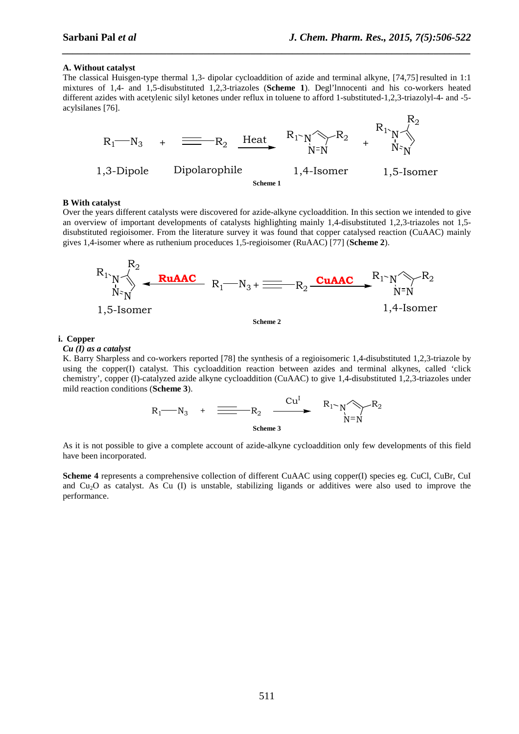#### **A. Without catalyst**

The classical Huisgen-type thermal 1,3- dipolar cycloaddition of azide and terminal alkyne, [74,75] resulted in 1:1 mixtures of 1,4- and 1,5-disubstituted 1,2,3-triazoles (**Scheme 1**). Degl'lnnocenti and his co-workers heated different azides with acetylenic silyl ketones under reflux in toluene to afford 1-substituted-1,2,3-triazolyl-4- and -5 acylsilanes [76].

*\_\_\_\_\_\_\_\_\_\_\_\_\_\_\_\_\_\_\_\_\_\_\_\_\_\_\_\_\_\_\_\_\_\_\_\_\_\_\_\_\_\_\_\_\_\_\_\_\_\_\_\_\_\_\_\_\_\_\_\_\_\_\_\_\_\_\_\_\_\_\_\_\_\_\_\_\_\_*

![](_page_5_Figure_4.jpeg)

#### **B With catalyst**

Over the years different catalysts were discovered for azide-alkyne cycloaddition. In this section we intended to give an overview of important developments of catalysts highlighting mainly 1,4-disubstituted 1,2,3-triazoles not 1,5 disubstituted regioisomer. From the literature survey it was found that copper catalysed reaction (CuAAC) mainly gives 1,4-isomer where as ruthenium proceduces 1,5-regioisomer (RuAAC) [77] (**Scheme 2**).

![](_page_5_Figure_7.jpeg)

## **i. Copper**

*Cu (I) as a catalyst* 

K. Barry Sharpless and co-workers reported [78] the synthesis of a regioisomeric 1,4-disubstituted 1,2,3-triazole by using the copper(I) catalyst. This cycloaddition reaction between azides and terminal alkynes, called 'click chemistry', copper (I)-catalyzed azide alkyne cycloaddition (CuAAC) to give 1,4-disubstituted 1,2,3-triazoles under mild reaction conditions (**Scheme 3**).

R<sup>1</sup> N<sup>3</sup> + R<sup>2</sup> N N N R<sup>1</sup> Cu<sup>I</sup> R<sup>2</sup> **Scheme 3** 

As it is not possible to give a complete account of azide-alkyne cycloaddition only few developments of this field have been incorporated.

**Scheme 4** represents a comprehensive collection of different CuAAC using copper(I) species eg. CuCl, CuBr, CuI and Cu2O as catalyst. As Cu (I) is unstable, stabilizing ligands or additives were also used to improve the performance.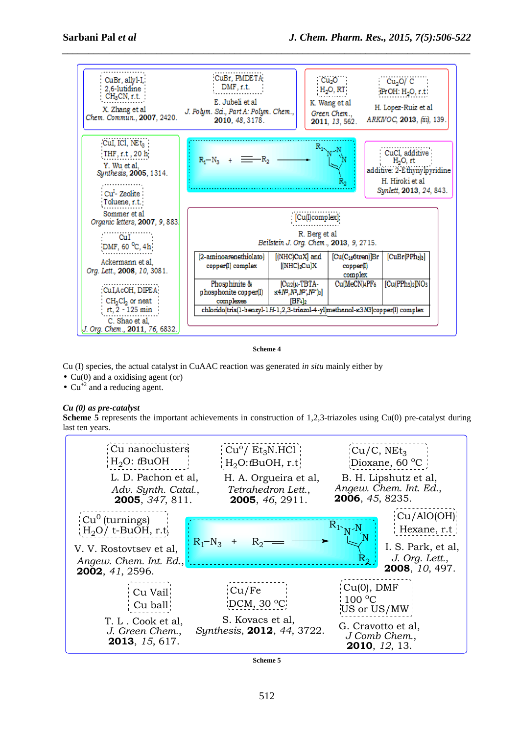![](_page_6_Figure_2.jpeg)

**Scheme 4** 

Cu (I) species, the actual catalyst in CuAAC reaction was generated *in situ* mainly either by

- $Cu(0)$  and a oxidising agent (or)
- $Cu^{+2}$  and a reducing agent.

## *Cu (0) as pre-catalyst*

**Scheme 5** represents the important achievements in construction of 1,2,3-triazoles using Cu(0) pre-catalyst during last ten years.

![](_page_6_Figure_9.jpeg)

**Scheme 5**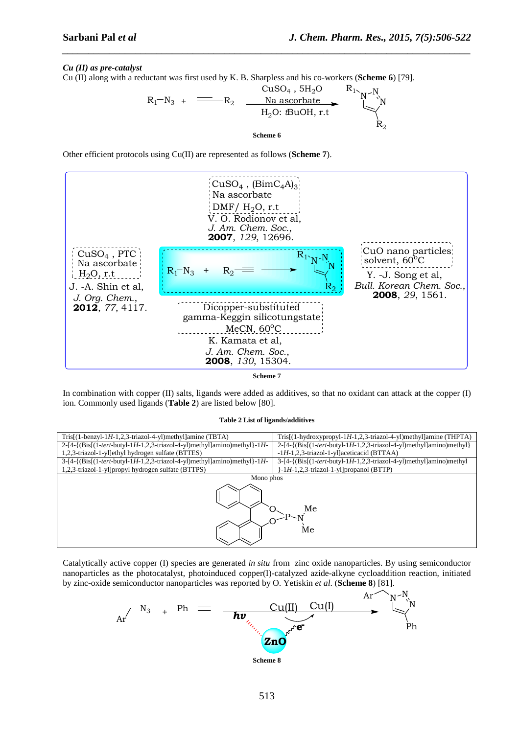## *Cu (II) as pre-catalyst*

Cu (II) along with a reductant was first used by K. B. Sharpless and his co-workers (**Scheme 6**) [79].

![](_page_7_Figure_4.jpeg)

*\_\_\_\_\_\_\_\_\_\_\_\_\_\_\_\_\_\_\_\_\_\_\_\_\_\_\_\_\_\_\_\_\_\_\_\_\_\_\_\_\_\_\_\_\_\_\_\_\_\_\_\_\_\_\_\_\_\_\_\_\_\_\_\_\_\_\_\_\_\_\_\_\_\_\_\_\_\_*

Other efficient protocols using Cu(II) are represented as follows (**Scheme 7**).

![](_page_7_Figure_6.jpeg)

**Scheme 7** 

In combination with copper (II) salts, ligands were added as additives, so that no oxidant can attack at the copper (I) ion. Commonly used ligands (**Table 2**) are listed below [80].

#### **Table 2 List of ligands/additives**

![](_page_7_Figure_10.jpeg)

Catalytically active copper (I) species are generated *in situ* from zinc oxide nanoparticles. By using semiconductor nanoparticles as the photocatalyst, photoinduced copper(I)-catalyzed azide-alkyne cycloaddition reaction, initiated by zinc-oxide semiconductor nanoparticles was reported by O. Yetiskin *et al*. (**Scheme 8**) [81].

![](_page_7_Figure_12.jpeg)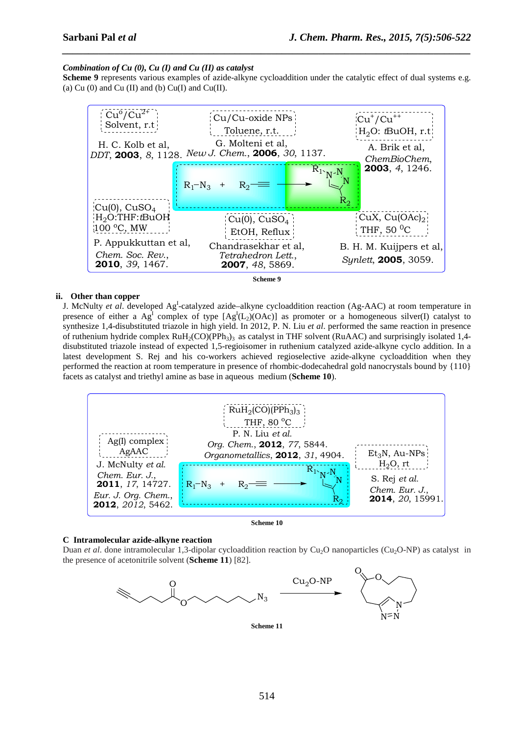## *Combination of Cu (0), Cu (I) and Cu (II) as catalyst*

**Scheme 9** represents various examples of azide-alkyne cycloaddition under the catalytic effect of dual systems e.g. (a) Cu  $(0)$  and Cu  $(II)$  and  $(b)$  Cu $(I)$  and Cu $(II)$ .

*\_\_\_\_\_\_\_\_\_\_\_\_\_\_\_\_\_\_\_\_\_\_\_\_\_\_\_\_\_\_\_\_\_\_\_\_\_\_\_\_\_\_\_\_\_\_\_\_\_\_\_\_\_\_\_\_\_\_\_\_\_\_\_\_\_\_\_\_\_\_\_\_\_\_\_\_\_\_*

![](_page_8_Figure_4.jpeg)

## **ii. Other than copper**

J. McNulty *et al.* developed Ag<sup>I</sup>-catalyzed azide–alkyne cycloaddition reaction (Ag-AAC) at room temperature in presence of either a  $Ag^1$  complex of type  $[Ag^I(L_2)(OAc)]$  as promoter or a homogeneous silver(I) catalyst to synthesize 1,4-disubstituted triazole in high yield. In 2012, P. N. Liu *et al*. performed the same reaction in presence of ruthenium hydride complex  $RuH_2(CO)(PPh_3)$ <sub>3</sub> as catalyst in THF solvent (RuAAC) and surprisingly isolated 1,4disubstituted triazole instead of expected 1,5-regioisomer in ruthenium catalyzed azide-alkyne cyclo addition. In a latest development S. Rej and his co-workers achieved regioselective azide-alkyne cycloaddition when they performed the reaction at room temperature in presence of rhombic-dodecahedral gold nanocrystals bound by {110} facets as catalyst and triethyl amine as base in aqueous medium (**Scheme 10**).

![](_page_8_Figure_7.jpeg)

**Scheme 10** 

## **C Intramolecular azide-alkyne reaction**

Duan *et al*. done intramolecular 1,3-dipolar cycloaddition reaction by Cu<sub>2</sub>O nanoparticles (Cu<sub>2</sub>O-NP) as catalyst in the presence of acetonitrile solvent (**Scheme 11**) [82].

![](_page_8_Figure_11.jpeg)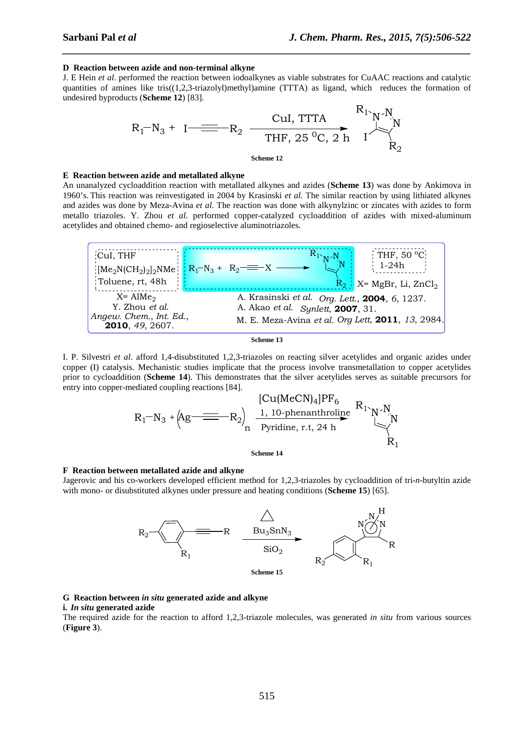#### **D Reaction between azide and non-terminal alkyne**

J. E Hein *et al*. performed the reaction between iodoalkynes as viable substrates for CuAAC reactions and catalytic quantities of amines like tris $((1,2,3-triazolyl)$ methyl)amine (TTTA) as ligand, which reduces the formation of undesired byproducts (**Scheme 12**) [83].

*\_\_\_\_\_\_\_\_\_\_\_\_\_\_\_\_\_\_\_\_\_\_\_\_\_\_\_\_\_\_\_\_\_\_\_\_\_\_\_\_\_\_\_\_\_\_\_\_\_\_\_\_\_\_\_\_\_\_\_\_\_\_\_\_\_\_\_\_\_\_\_\_\_\_\_\_\_\_*

$$
R_1-N_3 + I \xrightarrow{\text{Cul, TTTA}} R_1 \xrightarrow{\text{R}_1 \cdot \text{N} \cdot \text{N} \cdot \text{N}} R_2
$$
\n
$$
\xrightarrow{\text{Cul, TTTA}} R_1 \xrightarrow{\text{R}_1 \cdot \text{N} \cdot \text{N} \cdot \text{N} \cdot \text{N}} R_2
$$
\n
$$
\xrightarrow{\text{Scheme 12}}
$$

#### **E Reaction between azide and metallated alkyne**

An unanalyzed cycloaddition reaction with metallated alkynes and azides (**Scheme 13**) was done by Ankimova in 1960's. This reaction was reinvestigated in 2004 by Krasinski *et al*. The similar reaction by using lithiated alkynes and azides was done by Meza-Avina *et al*. The reaction was done with alkynylzinc or zincates with azides to form metallo triazoles. Y. Zhou *et al*. performed copper-catalyzed cycloaddition of azides with mixed-aluminum acetylides and obtained chemo- and regioselective aluminotriazoles.

![](_page_9_Figure_7.jpeg)

![](_page_9_Figure_8.jpeg)

I. P. Silvestri *et al*. afford 1,4-disubstituted 1,2,3-triazoles on reacting silver acetylides and organic azides under copper (I) catalysis. Mechanistic studies implicate that the process involve transmetallation to copper acetylides prior to cycloaddition (**Scheme 14**). This demonstrates that the silver acetylides serves as suitable precursors for entry into copper-mediated coupling reactions [84].

R<sup>1</sup> N<sup>3</sup> + R<sup>2</sup> N N R<sup>1</sup> N R<sup>1</sup> Ag [Cu(MeCN)4]PF<sup>6</sup> 1, 10-phenanthroline n Pyridine, r.t, 24 h

**Scheme 14** 

#### **F Reaction between metallated azide and alkyne**

Jagerovic and his co-workers developed efficient method for 1,2,3-triazoles by cycloaddition of tri-*n*-butyltin azide with mono- or disubstituted alkynes under pressure and heating conditions (**Scheme 15**) [65].

![](_page_9_Figure_14.jpeg)

## **G Reaction between** *in situ* **generated azide and alkyne**

#### **i.** *In situ* **generated azide**

The required azide for the reaction to afford 1,2,3-triazole molecules, was generated *in situ* from various sources (**Figure 3**).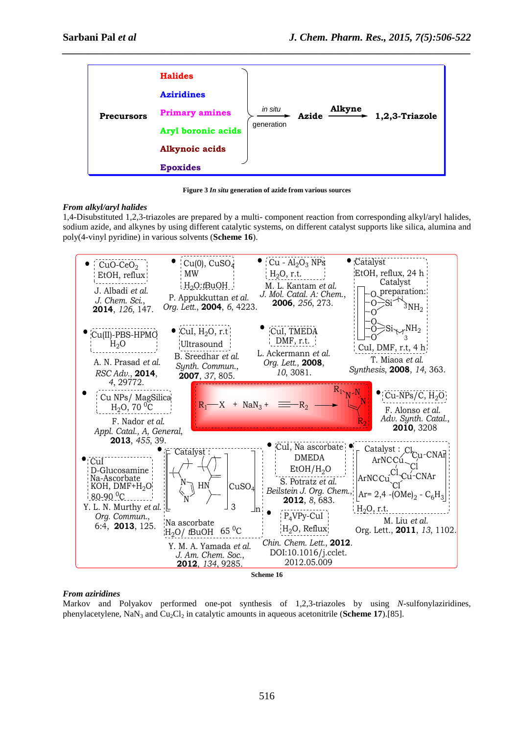| <b>Precursors</b> | <b>Halides</b>                                                        |
|-------------------|-----------------------------------------------------------------------|
|                   | <b>Aziridines</b>                                                     |
|                   | Alkyne<br>in situ<br><b>Primary amines</b><br>1,2,3-Triazole<br>Azide |
|                   | generation<br>Aryl boronic acids                                      |
|                   | <b>Alkynoic acids</b>                                                 |
|                   | <b>Epoxides</b>                                                       |

*\_\_\_\_\_\_\_\_\_\_\_\_\_\_\_\_\_\_\_\_\_\_\_\_\_\_\_\_\_\_\_\_\_\_\_\_\_\_\_\_\_\_\_\_\_\_\_\_\_\_\_\_\_\_\_\_\_\_\_\_\_\_\_\_\_\_\_\_\_\_\_\_\_\_\_\_\_\_*

**Figure 3** *In situ* **generation of azide from various sources** 

## *From alkyl/aryl halides*

1,4-Disubstituted 1,2,3-triazoles are prepared by a multi- component reaction from corresponding alkyl/aryl halides, sodium azide, and alkynes by using different catalytic systems, on different catalyst supports like silica, alumina and poly(4-vinyl pyridine) in various solvents (**Scheme 16**).

![](_page_10_Figure_6.jpeg)

## *From aziridines*

Markov and Polyakov performed one-pot synthesis of 1,2,3-triazoles by using *N*-sulfonylaziridines, phenylacetylene, NaN3 and Cu2Cl2 in catalytic amounts in aqueous acetonitrile (**Scheme 17**).[85].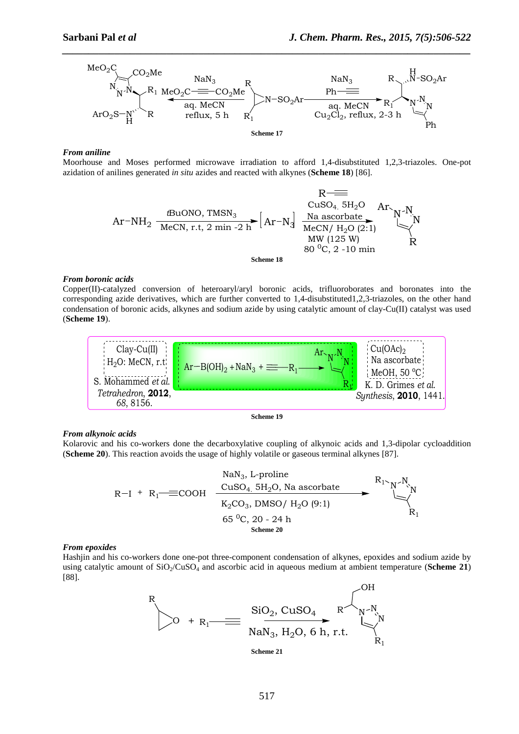![](_page_11_Figure_2.jpeg)

*\_\_\_\_\_\_\_\_\_\_\_\_\_\_\_\_\_\_\_\_\_\_\_\_\_\_\_\_\_\_\_\_\_\_\_\_\_\_\_\_\_\_\_\_\_\_\_\_\_\_\_\_\_\_\_\_\_\_\_\_\_\_\_\_\_\_\_\_\_\_\_\_\_\_\_\_\_\_*

#### *From aniline*

Moorhouse and Moses performed microwave irradiation to afford 1,4-disubstituted 1,2,3-triazoles. One-pot azidation of anilines generated *in situ* azides and reacted with alkynes (**Scheme 18**) [86].

![](_page_11_Figure_5.jpeg)

## *From boronic acids*

Copper(II)-catalyzed conversion of heteroaryl/aryl boronic acids, trifluoroborates and boronates into the corresponding azide derivatives, which are further converted to 1,4-disubstituted1,2,3-triazoles, on the other hand condensation of boronic acids, alkynes and sodium azide by using catalytic amount of clay-Cu(II) catalyst was used (**Scheme 19**).

![](_page_11_Figure_8.jpeg)

## *From alkynoic acids*

Kolarovic and his co-workers done the decarboxylative coupling of alkynoic acids and 1,3-dipolar cycloaddition (**Scheme 20**). This reaction avoids the usage of highly volatile or gaseous terminal alkynes [87].

$$
R-I + R_1 \longrightarrow \text{EOOOH} \quad \xrightarrow{\text{U} \cdot \text{S}_4, \text{S}_2 \cdot \text{S}_4, \text{S}_2 \cdot \text{S}_5 \cdot \text{S}_7, \text{N}_8 \cdot \text{S}_8 \cdot \text{S}_9 \cdot \text{S}_9 \cdot \text{S}_9 \cdot \text{S}_9 \cdot \text{S}_9 \cdot \text{S}_9 \cdot \text{S}_9 \cdot \text{S}_9 \cdot \text{S}_9 \cdot \text{S}_9 \cdot \text{S}_9 \cdot \text{S}_9 \cdot \text{S}_9 \cdot \text{S}_9 \cdot \text{S}_9 \cdot \text{S}_9 \cdot \text{S}_9 \cdot \text{S}_9 \cdot \text{S}_9 \cdot \text{S}_9 \cdot \text{S}_9 \cdot \text{S}_9 \cdot \text{S}_9 \cdot \text{S}_9 \cdot \text{S}_9 \cdot \text{S}_9 \cdot \text{S}_9 \cdot \text{S}_9 \cdot \text{S}_9 \cdot \text{S}_9 \cdot \text{S}_9 \cdot \text{S}_9 \cdot \text{S}_9 \cdot \text{S}_9 \cdot \text{S}_9 \cdot \text{S}_9 \cdot \text{S}_9 \cdot \text{S}_9 \cdot \text{S}_9 \cdot \text{S}_9 \cdot \text{S}_9 \cdot \text{S}_9 \cdot \text{S}_9 \cdot \text{S}_9 \cdot \text{S}_9 \cdot \text{S}_9 \cdot \text{S}_9 \cdot \text{S}_9 \cdot \text{S}_9 \cdot \text{S}_9 \cdot \text{S}_9 \cdot \text{S}_9 \cdot \text{S}_9 \cdot \text{S}_9 \cdot \text{S}_9 \cdot \text{S}_9 \cdot \text{S}_9 \cdot \text{S}_9 \cdot \text{S}_9 \cdot \text{S}_9 \cdot \text{S}_9 \cdot \text{S}_9 \cdot \text{S}_9 \cdot \text{S}_9 \cdot \text{S}_9 \cdot \text{S}_9 \cdot \text{S}_9 \cdot \text{S}_9 \cdot \text{S}_9 \cdot \text{S}_9 \cdot \text{S}_9 \cdot \text{S}_9 \cdot \text{S}_9 \cdot \text{S}_9 \cdot \text{S}_9 \cdot \text{S}_9 \cdot \text{S}_9 \cdot \text{S}_9 \cdot \text{S}_9 \cdot \text{S}_9 \cdot \text{S}_9 \cdot \text{S}_9 \cdot \text{S}_9 \cdot \text{S}_9 \
$$

#### *From epoxides*

Hashjin and his co-workers done one-pot three-component condensation of alkynes, epoxides and sodium azide by using catalytic amount of  $SiO_2/CuSO_4$  and ascorbic acid in aqueous medium at ambient temperature (**Scheme 21**) [88].

$$
R\n\n0 + R1\n\n\nSiO2, CuSO4 R\n\nNaN3, H2O, 6 h, r.t.\n\n\n\n
$$
R\n\nN-NNR1
$$
\n  
\n  
\n
$$
R\n\nN-NNR1
$$
$$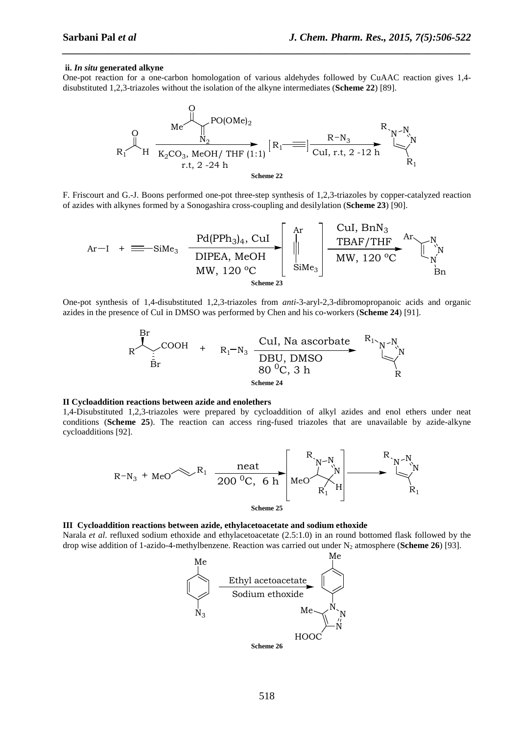#### **ii.** *In situ* **generated alkyne**

One-pot reaction for a one-carbon homologation of various aldehydes followed by CuAAC reaction gives 1,4 disubstituted 1,2,3-triazoles without the isolation of the alkyne intermediates (**Scheme 22**) [89].

*\_\_\_\_\_\_\_\_\_\_\_\_\_\_\_\_\_\_\_\_\_\_\_\_\_\_\_\_\_\_\_\_\_\_\_\_\_\_\_\_\_\_\_\_\_\_\_\_\_\_\_\_\_\_\_\_\_\_\_\_\_\_\_\_\_\_\_\_\_\_\_\_\_\_\_\_\_\_*

![](_page_12_Figure_4.jpeg)

F. Friscourt and G.-J. Boons performed one-pot three-step synthesis of 1,2,3-triazoles by copper-catalyzed reaction of azides with alkynes formed by a Sonogashira cross-coupling and desilylation (**Scheme 23**) [90].

$$
Ar-I + \equiv -\text{SiMe}_{3} \underbrace{\frac{Pd(PPh_{3})_{4}}{DIPEA, MeOH}}_{MW, 120 \text{ }^{o}C} \left[\begin{array}{c} Ar \\ \parallel \\ \parallel \\ \text{SiMe}_{3} \end{array}\right] \underbrace{\frac{CuI, BnN_{3}}{TBAF/THF}}_{MW, 120 \text{ }^{o}C} \underbrace{\begin{array}{c} N \\ \parallel \\ \text{Ni} \\ \text{SiMe}_{3} \end{array}}_{\text{Bn}}
$$

One-pot synthesis of 1,4-disubstituted 1,2,3-triazoles from *anti*-3-aryl-2,3-dibromopropanoic acids and organic azides in the presence of CuI in DMSO was performed by Chen and his co-workers (**Scheme 24**) [91].

![](_page_12_Figure_8.jpeg)

#### **II Cycloaddition reactions between azide and enolethers**

1,4-Disubstituted 1,2,3-triazoles were prepared by cycloaddition of alkyl azides and enol ethers under neat conditions (**Scheme 25**). The reaction can access ring-fused triazoles that are unavailable by azide-alkyne cycloadditions [92].

![](_page_12_Figure_11.jpeg)

**III Cycloaddition reactions between azide, ethylacetoacetate and sodium ethoxide** 

Narala *et al*. refluxed sodium ethoxide and ethylacetoacetate (2.5:1.0) in an round bottomed flask followed by the drop wise addition of 1-azido-4-methylbenzene. Reaction was carried out under N2 atmosphere (**Scheme 26**) [93].

![](_page_12_Figure_14.jpeg)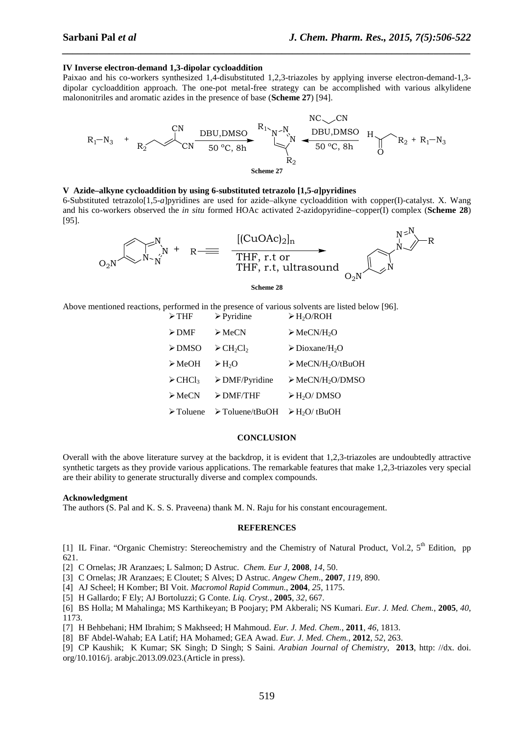## **IV Inverse electron-demand 1,3-dipolar cycloaddition**

Paixao and his co-workers synthesized 1,4-disubstituted 1,2,3-triazoles by applying inverse electron-demand-1,3 dipolar cycloaddition approach. The one-pot metal-free strategy can be accomplished with various alkylidene malononitriles and aromatic azides in the presence of base (**Scheme 27**) [94].

*\_\_\_\_\_\_\_\_\_\_\_\_\_\_\_\_\_\_\_\_\_\_\_\_\_\_\_\_\_\_\_\_\_\_\_\_\_\_\_\_\_\_\_\_\_\_\_\_\_\_\_\_\_\_\_\_\_\_\_\_\_\_\_\_\_\_\_\_\_\_\_\_\_\_\_\_\_\_*

![](_page_13_Figure_4.jpeg)

## **V Azide–alkyne cycloaddition by using 6-substituted tetrazolo [1,5-***a***]pyridines**

6-Substituted tetrazolo[1,5-*a*]pyridines are used for azide–alkyne cycloaddition with copper(I)-catalyst. X. Wang and his co-workers observed the *in situ* formed HOAc activated 2-azidopyridine–copper(I) complex (**Scheme 28**) [95].

![](_page_13_Figure_7.jpeg)

Above mentioned reactions, performed in the presence of various solvents are listed below [96].

| $\triangleright$ THF               | $\triangleright$ Pyridine                        | $\triangleright$ H <sub>2</sub> O/ROH        |
|------------------------------------|--------------------------------------------------|----------------------------------------------|
| $\triangleright$ DMF               | $\triangleright$ MeCN                            | $\triangleright$ MeCN/H <sub>2</sub> O       |
| $\triangleright$ DMSO              | $\triangleright$ CH <sub>2</sub> Cl <sub>2</sub> | $\triangleright$ Dioxane/H <sub>2</sub> O    |
| $\triangleright$ MeOH              | $\triangleright$ H <sub>2</sub> O                | $\triangleright$ MeCN/H <sub>2</sub> O/tBuOH |
| $\triangleright$ CHCl <sub>3</sub> | $\triangleright$ DMF/Pyridine                    | $\triangleright$ MeCN/H <sub>2</sub> O/DMSO  |
| $\triangleright$ MeCN              | $\triangleright$ DMF/THF                         | $\triangleright$ H <sub>2</sub> O/DMSO       |
| $\triangleright$ Toluene           | $\triangleright$ Toluene/tBuOH                   | $\triangleright$ H <sub>2</sub> O/tBuOH      |

#### **CONCLUSION**

Overall with the above literature survey at the backdrop, it is evident that 1,2,3-triazoles are undoubtedly attractive synthetic targets as they provide various applications. The remarkable features that make 1,2,3-triazoles very special are their ability to generate structurally diverse and complex compounds.

## **Acknowledgment**

The authors (S. Pal and K. S. S. Praveena) thank M. N. Raju for his constant encouragement.

#### **REFERENCES**

[1] IL Finar. "Organic Chemistry: Stereochemistry and the Chemistry of Natural Product, Vol.2, 5<sup>th</sup> Edition, pp 621.

[2] C Ornelas; JR Aranzaes; L Salmon; D Astruc. *Chem. Eur J,* **2008**, *14*, 50.

[3] C Ornelas; JR Aranzaes; E Cloutet; S Alves; D Astruc. *Angew Chem*., **2007**, *119*, 890.

[4] AJ Scheel; H Komber; BI Voit. *Macromol Rapid Commun.*, **2004**, *25*, 1175.

[5] H Gallardo; F Ely; AJ Bortoluzzi; G Conte. *Liq. Cryst.*, **2005**, *32*, 667.

[6] BS Holla; M Mahalinga; MS Karthikeyan; B Poojary; PM Akberali; NS Kumari. *Eur. J. Med. Chem.*, **2005**, *40*, 1173.

[7] H Behbehani; HM Ibrahim; S Makhseed; H Mahmoud. *Eur. J. Med. Chem.*, **2011**, *46*, 1813.

[8] BF Abdel-Wahab; EA Latif; HA Mohamed; GEA Awad. *Eur. J. Med. Chem.*, **2012**, *52*, 263.

[9] CP Kaushik; K Kumar; SK Singh; D Singh; S Saini. *Arabian Journal of Chemistry*, **2013**, http: //dx. doi. org/10.1016/j. arabjc.2013.09.023.(Article in press).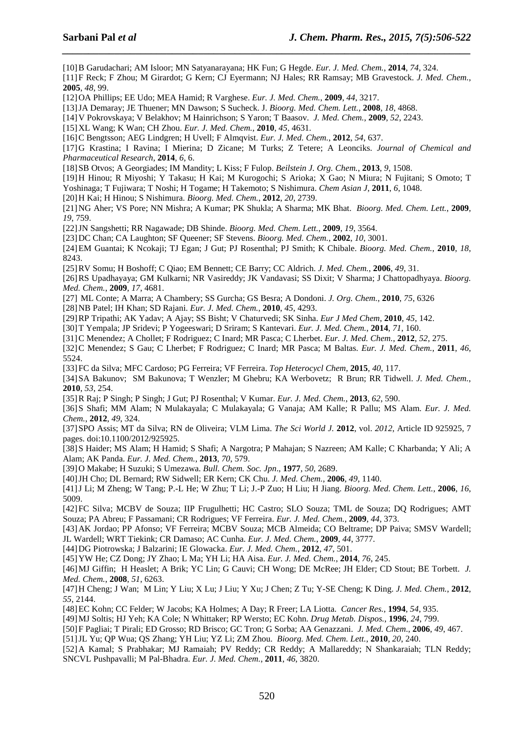[10] B Garudachari; AM Isloor; MN Satyanarayana; HK Fun; G Hegde. *Eur. J. Med. Chem.*, **2014**, *74*, 324.

[11] F Reck; F Zhou; M Girardot; G Kern; CJ Eyermann; NJ Hales; RR Ramsay; MB Gravestock. *J. Med. Chem.*, **2005**, *48*, 99.

*\_\_\_\_\_\_\_\_\_\_\_\_\_\_\_\_\_\_\_\_\_\_\_\_\_\_\_\_\_\_\_\_\_\_\_\_\_\_\_\_\_\_\_\_\_\_\_\_\_\_\_\_\_\_\_\_\_\_\_\_\_\_\_\_\_\_\_\_\_\_\_\_\_\_\_\_\_\_*

[12] OA Phillips; EE Udo; MEA Hamid; R Varghese. *Eur. J. Med. Chem.*, **2009**, *44*, 3217.

[13] JA Demaray; JE Thuener; MN Dawson; S Sucheck. J. *Bioorg. Med. Chem. Lett.,* **2008***, 18*, 4868.

[14] V Pokrovskaya; V Belakhov; M Hainrichson; S Yaron; T Baasov. *J. Med. Chem.*, **2009**, *52*, 2243.

[15] XL Wang; K Wan; CH Zhou. *Eur. J. Med. Chem.*, **2010**, *45*, 4631.

[16] C Bengtsson; AEG Lindgren; H Uvell; F Almqvist. *Eur. J. Med. Chem.*, **2012**, *54*, 637.

[17] G Krastina; I Ravina; I Mierina; D Zicane; M Turks; Z Tetere; A Leonciks. *Journal of Chemical and Pharmaceutical Research*, **2014**, *6*, 6.

[18] SB Otvos; A Georgiades; IM Mandity; L Kiss; F Fulop. *Beilstein J. Org. Chem.*, **2013**, *9*, 1508.

[19] H Hinou; R Miyoshi; Y Takasu; H Kai; M Kurogochi; S Arioka; X Gao; N Miura; N Fujitani; S Omoto; T

Yoshinaga; T Fujiwara; T Noshi; H Togame; H Takemoto; S Nishimura. *Chem Asian J*, **2011**, *6*, 1048.

[20] H Kai; H Hinou; S Nishimura. *Bioorg. Med. Chem.*, **2012**, *20*, 2739.

[21] NG Aher; VS Pore; NN Mishra; A Kumar; PK Shukla; A Sharma; MK Bhat. *Bioorg. Med. Chem. Lett.*, **2009**, *19*, 759.

[22] JN Sangshetti; RR Nagawade; DB Shinde. *Bioorg. Med. Chem. Lett.*, **2009**, *19*, 3564.

[23] DC Chan; CA Laughton; SF Queener; SF Stevens. *Bioorg. Med. Chem.*, **2002**, *10*, 3001.

[24] EM Guantai; K Ncokaji; TJ Egan; J Gut; PJ Rosenthal; PJ Smith; K Chibale. *Bioorg. Med. Chem.*, **2010**, *18*, 8243.

[25] RV Somu; H Boshoff; C Qiao; EM Bennett; CE Barry; CC Aldrich. *J. Med. Chem.*, **2006**, *49*, 31.

[26] RS Upadhayaya; GM Kulkarni; NR Vasireddy; JK Vandavasi; SS Dixit; V Sharma; J Chattopadhyaya. *Bioorg. Med. Chem.*, **2009**, *17*, 4681.

[27] ML Conte; A Marra; A Chambery; SS Gurcha; GS Besra; A Dondoni. *J. Org. Chem.*, **2010**, *75*, 6326

[28] NB Patel; IH Khan; SD Rajani. *Eur. J. Med. Chem.*, **2010**, *45*, 4293.

[29] RP Tripathi; AK Yadav; A Ajay; SS Bisht; V Chaturvedi; SK Sinha. *Eur J Med Chem*, **2010**, *45*, 142.

[30] T Yempala; JP Sridevi; P Yogeeswari; D Sriram; S Kantevari. *Eur. J. Med. Chem.*, **2014**, *71*, 160.

[31] C Menendez; A Chollet; F Rodriguez; C Inard; MR Pasca; C Lherbet. *Eur. J. Med. Chem.*, **2012**, *52*, 275.

[32] C Menendez; S Gau; C Lherbet; F Rodriguez; C Inard; MR Pasca; M Baltas. *Eur. J. Med. Chem.*, **2011**, *46*, 5524.

[33] FC da Silva; MFC Cardoso; PG Ferreira; VF Ferreira. *Top Heterocycl Chem*, **2015**, *40*, 117.

[34] SA Bakunov; SM Bakunova; T Wenzler; M Ghebru; KA Werbovetz; R Brun; RR Tidwell. *J. Med. Chem.*, **2010**, *53*, 254.

[35] R Raj; P Singh; P Singh; J Gut; PJ Rosenthal; V Kumar. *Eur. J. Med. Chem.*, **2013**, *62*, 590.

[36] S Shafi; MM Alam; N Mulakayala; C Mulakayala; G Vanaja; AM Kalle; R Pallu; MS Alam. *Eur. J. Med. Chem.*, **2012**, *49*, 324.

[37] SPO Assis; MT da Silva; RN de Oliveira; VLM Lima. *The Sci World J.* **2012**, vol. *2012*, Article ID 925925, 7 pages. doi:10.1100/2012/925925.

[38] S Haider; MS Alam; H Hamid; S Shafi; A Nargotra; P Mahajan; S Nazreen; AM Kalle; C Kharbanda; Y Ali; A Alam; AK Panda. *Eur. J. Med. Chem.*, **2013**, *70*, 579.

[39] O Makabe; H Suzuki; S Umezawa. *Bull. Chem. Soc. Jpn*., **1977**, *50*, 2689.

[40] JH Cho; DL Bernard; RW Sidwell; ER Kern; CK Chu. *J. Med. Chem.*, **2006**, *49*, 1140.

[41] J Li; M Zheng; W Tang; P.-L He; W Zhu; T Li; J.-P Zuo; H Liu; H Jiang. *Bioorg. Med. Chem. Lett.*, **2006**, *16*, 5009.

[42] FC Silva; MCBV de Souza; IIP Frugulhetti; HC Castro; SLO Souza; TML de Souza; DQ Rodrigues; AMT Souza; PA Abreu; F Passamani; CR Rodrigues; VF Ferreira. *Eur. J. Med. Chem.*, **2009**, *44*, 373.

[43] AK Jordao; PP Afonso; VF Ferreira; MCBV Souza; MCB Almeida; CO Beltrame; DP Paiva; SMSV Wardell; JL Wardell; WRT Tiekink; CR Damaso; AC Cunha. *Eur. J. Med. Chem.*, **2009**, *44*, 3777.

[44] DG Piotrowska; J Balzarini; IE Glowacka. *Eur. J. Med. Chem.*, **2012**, *47*, 501.

[45] YW He; CZ Dong; JY Zhao; L Ma; YH Li; HA Aisa. *Eur. J. Med. Chem.*, **2014**, *76*, 245.

[46] MJ Giffin; H Heaslet; A Brik; YC Lin; G Cauvi; CH Wong; DE McRee; JH Elder; CD Stout; BE Torbett. *J. Med. Chem.*, **2008**, *51*, 6263.

[47] H Cheng; J Wan; M Lin; Y Liu; X Lu; J Liu; Y Xu; J Chen; Z Tu; Y-SE Cheng; K Ding. *J. Med. Chem.*, **2012**, *55*, 2144.

[48] EC Kohn; CC Felder; W Jacobs; KA Holmes; A Day; R Freer; LA Liotta. *Cancer Res.*, **1994**, *54*, 935.

[49] MJ Soltis; HJ Yeh; KA Cole; N Whittaker; RP Wersto; EC Kohn. *Drug Metab. Dispos.*, **1996**, *24*, 799.

[50] F Pagliai; T Pirali; ED Grosso; RD Brisco; GC Tron; G Sorba; AA Genazzani. *J. Med. Chem*., **2006**, *49*, 467.

[51] JL Yu; QP Wua; QS Zhang; YH Liu; YZ Li; ZM Zhou. *Bioorg. Med. Chem. Lett.*, **2010**, *20*, 240.

[52] A Kamal; S Prabhakar; MJ Ramaiah; PV Reddy; CR Reddy; A Mallareddy; N Shankaraiah; TLN Reddy; SNCVL Pushpavalli; M Pal-Bhadra. *Eur. J. Med. Chem.*, **2011**, *46*, 3820.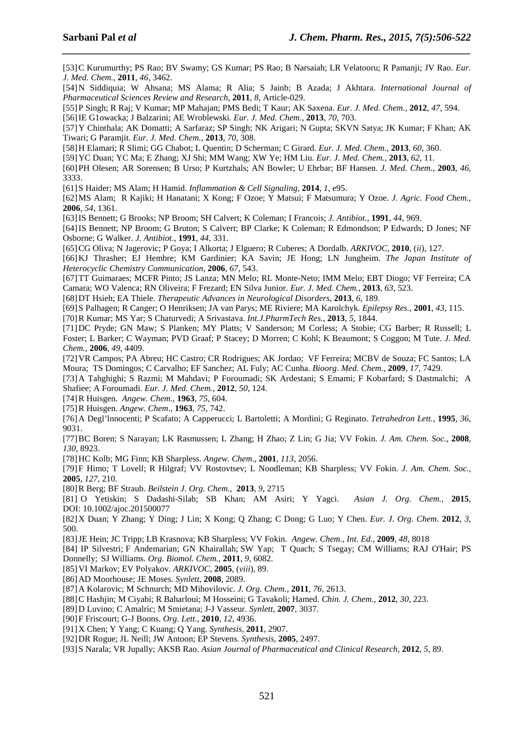[53] C Kurumurthy; PS Rao; BV Swamy; GS Kumar; PS Rao; B Narsaiah; LR Velatooru; R Pamanji; JV Rao. *Eur. J. Med. Chem.*, **2011**, *46*, 3462.

*\_\_\_\_\_\_\_\_\_\_\_\_\_\_\_\_\_\_\_\_\_\_\_\_\_\_\_\_\_\_\_\_\_\_\_\_\_\_\_\_\_\_\_\_\_\_\_\_\_\_\_\_\_\_\_\_\_\_\_\_\_\_\_\_\_\_\_\_\_\_\_\_\_\_\_\_\_\_*

[54] N Siddiquia; W Ahsana; MS Alama; R Alia; S Jainb; B Azada; J Akhtara. *International Journal of Pharmaceutical Sciences Review and Research*, **2011**, *8*, Article-029.

[55] P Singh; R Raj; V Kumar; MP Mahajan; PMS Bedi; T Kaur; AK Saxena. *Eur. J. Med. Chem.*, **2012**, *47*, 594.

[56] IE G1owacka; J Balzarini; AE Wroblewski. *Eur. J. Med. Chem.*, **2013**, *70*, 703.

[57] Y Chinthala; AK Domatti; A Sarfaraz; SP Singh; NK Arigari; N Gupta; SKVN Satya; JK Kumar; F Khan; AK Tiwari; G Paramjit. *Eur. J. Med. Chem.*, **2013**, *70*, 308.

[58] H Elamari; R Slimi; GG Chabot; L Quentin; D Scherman; C Girard. *Eur. J. Med. Chem.*, **2013**, *60*, 360.

[59] YC Duan; YC Ma; E Zhang; XJ Shi; MM Wang; XW Ye; HM Liu. *Eur. J. Med. Chem.*, **2013**, *62*, 11.

[60] PH Olesen; AR Sorensen; B Urso; P Kurtzhals; AN Bowler; U Ehrbar; BF Hansen. *J. Med. Chem.*, **2003**, *46*, 3333.

[61] S Haider; MS Alam; H Hamid. *Inflammation & Cell Signaling*, **2014**, *1*, e95.

[62] MS Alam; R Kajiki; H Hanatani; X Kong; F Ozoe; Y Matsui; F Matsumura; Y Ozoe. *J. Agric. Food Chem.*, **2006**, *54*, 1361.

[63] IS Bennett; G Brooks; NP Broom; SH Calvert; K Coleman; I Francois; *J. Antibiot.*, **1991**, *44*, 969.

[64] IS Bennett; NP Broom; G Bruton; S Calvert; BP Clarke; K Coleman; R Edmondson; P Edwards; D Jones; NF Osborne; G Walker. *J. Antibiot.*, **1991**, *44*, 331.

[65] CG Oliva; N Jagerovic; P Goya; I Alkorta; J Elguero; R Cuberes; A Dordalb. *ARKIVOC*, **2010**, (*ii*), 127.

[66] KJ Thrasher; EJ Hembre; KM Gardinier; KA Savin; JE Hong; LN Jungheim. *The Japan Institute of Heterocyclic Chemistry Communication*, **2006**, *67*, 543.

[67] TT Guimaraes; MCFR Pinto; JS Lanza; MN Melo; RL Monte-Neto; IMM Melo; EBT Diogo; VF Ferreira; CA Camara; WO Valenca; RN Oliveira; F Frezard; EN Silva Junior. *Eur. J. Med. Chem.*, **2013**, *63*, 523.

[68] DT Hsieh; EA Thiele. *Therapeutic Advances in Neurological Disorders*, **2013**, *6*, 189.

[69] S Palhagen; R Canger; O Henriksen; JA van Parys; ME Riviere; MA Karolchyk. *Epilepsy Res.*, **2001**, *43*, 115.

[70] R Kumar; MS Yar; S Chaturvedi; A Srivastava. *Int.J.PharmTech Res.*, **2013**, *5*, 1844.

[71] DC Pryde; GN Maw; S Planken; MY Platts; V Sanderson; M Corless; A Stobie; CG Barber; R Russell; L Foster; L Barker; C Wayman; PVD Graaf; P Stacey; D Morren; C Kohl; K Beaumont; S Coggon; M Tute. *J. Med. Chem.*, **2006**, *49*, 4409.

[72] VR Campos; PA Abreu; HC Castro; CR Rodrigues; AK Jordao; VF Ferreira; MCBV de Souza; FC Santos; LA Moura; TS Domingos; C Carvalho; EF Sanchez; AL Fuly; AC Cunha. *Bioorg. Med. Chem.*, **2009**, *17*, 7429.

[73] A Tahghighi; S Razmi; M Mahdavi; P Foroumadi; SK Ardestani; S Emami; F Kobarfard; S Dastmalchi; A Shafiee; A Foroumadi. *Eur. J. Med. Chem.*, **2012**, *50*, 124.

[74] R Huisgen. *Angew. Chem*., **1963**, *75,* 604.

[75] R Huisgen. *Angew. Chem*., **1963**, *75*, 742.

[76] A Degl'lnnocenti; P Scafato; A Capperucci; L Bartoletti; A Mordini; G Reginato. *Tetrahedron Lett.*, **1995**, *36*, 9031.

[77] BC Boren; S Narayan; LK Rasmussen; L Zhang; H Zhao; Z Lin; G Jia; VV Fokin. *J. Am. Chem. Soc.*, **2008**, *130*, 8923.

[78] HC Kolb; MG Finn; KB Sharpless. *Angew. Chem*., **2001**, *113*, 2056.

[79] F Himo; T Lovell; R Hilgraf; VV Rostovtsev; L Noodleman; KB Sharpless; VV Fokin. *J. Am. Chem. Soc.*, **2005**, *127*, 210.

[80] R Berg; BF Straub. *Beilstein J. Org. Chem.*,**2013**, *9*, 2715

[81] O Yetiskin; S Dadashi-Silab; SB Khan; AM Asiri; Y Yagci. *Asian J. Org. Chem.*, **2015**, DOI: 10.1002/ajoc.201500077

[82] X Duan; Y Zhang; Y Ding; J Lin; X Kong; Q Zhang; C Dong; G Luo; Y Chen. *Eur. J. Org. Chem.* **2012**, *3*, 500.

[83] JE Hein; JC Tripp; LB Krasnova; KB Sharpless; VV Fokin. *Angew. Chem., Int. Ed.*, **2009**, *48*, 8018

[84] IP Silvestri; F Andemarian; GN Khairallah; SW Yap; T Quach; S Tsegay; CM Williams; RAJ O'Hair; PS Donnelly; SJ Williams. *Org. Biomol. Chem.*, **2011**, *9*, 6082.

[85] VI Markov; EV Polyakov. *ARKIVOC*, **2005**, (*viii*), 89.

[86] AD Moorhouse; JE Moses. *Synlett*, **2008**, 2089.

[87] A Kolarovic; M Schnurch; MD Mihovilovic. *J. Org. Chem.*, **2011**, *76*, 2613.

[88] C Hashjin; M Ciyabi; R Baharloui; M Hosseini; G Tavakoli; Hamed. *Chin. J. Chem.*, **2012**, *30*, 223.

[89] D Luvino; C Amalric; M Smietana; J-J Vasseur. *Synlett*, **2007**, 3037.

[90] F Friscourt; G-J Boons. *Org. Lett.*, **2010**, *12*, 4936.

[91] X Chen; Y Yang; C Kuang; Q Yang. *Synthesis*, **2011**, 2907.

[92] DR Rogue; JL Neill; JW Antoon; EP Stevens. *Synthesis*, **2005**, 2497.

[93] S Narala; VR Jupally; AKSB Rao. *Asian Journal of Pharmaceutical and Clinical Research*, **2012**, *5*, 89.